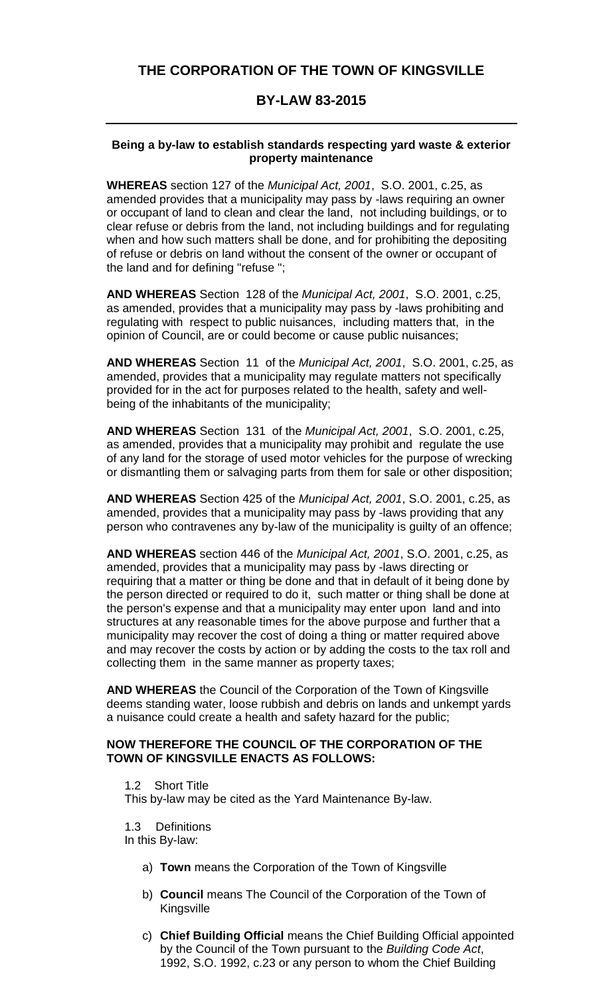# **THE CORPORATION OF THE TOWN OF KINGSVILLE**

## **BY-LAW 83-2015**

#### **Being a by-law to establish standards respecting yard waste & exterior property maintenance**

**WHEREAS** section 127 of the *Municipal Act, 2001*, S.O. 2001, c.25, as amended provides that a municipality may pass by -laws requiring an owner or occupant of land to clean and clear the land, not including buildings, or to clear refuse or debris from the land, not including buildings and for regulating when and how such matters shall be done, and for prohibiting the depositing of refuse or debris on land without the consent of the owner or occupant of the land and for defining "refuse ";

**AND WHEREAS** Section 128 of the *Municipal Act, 2001*, S.O. 2001, c.25, as amended, provides that a municipality may pass by -laws prohibiting and regulating with respect to public nuisances, including matters that, in the opinion of Council, are or could become or cause public nuisances;

**AND WHEREAS** Section 11 of the *Municipal Act, 2001*, S.O. 2001, c.25, as amended, provides that a municipality may regulate matters not specifically provided for in the act for purposes related to the health, safety and wellbeing of the inhabitants of the municipality;

**AND WHEREAS** Section 131 of the *Municipal Act, 2001*, S.O. 2001, c.25, as amended, provides that a municipality may prohibit and regulate the use of any land for the storage of used motor vehicles for the purpose of wrecking or dismantling them or salvaging parts from them for sale or other disposition;

**AND WHEREAS** Section 425 of the *Municipal Act, 2001*, S.O. 2001, c.25, as amended, provides that a municipality may pass by -laws providing that any person who contravenes any by-law of the municipality is guilty of an offence;

**AND WHEREAS** section 446 of the *Municipal Act, 2001*, S.O. 2001, c.25, as amended, provides that a municipality may pass by -laws directing or requiring that a matter or thing be done and that in default of it being done by the person directed or required to do it, such matter or thing shall be done at the person's expense and that a municipality may enter upon land and into structures at any reasonable times for the above purpose and further that a municipality may recover the cost of doing a thing or matter required above and may recover the costs by action or by adding the costs to the tax roll and collecting them in the same manner as property taxes;

**AND WHEREAS** the Council of the Corporation of the Town of Kingsville deems standing water, loose rubbish and debris on lands and unkempt yards a nuisance could create a health and safety hazard for the public;

#### **NOW THEREFORE THE COUNCIL OF THE CORPORATION OF THE TOWN OF KINGSVILLE ENACTS AS FOLLOWS:**

1.2 Short Title This by-law may be cited as the Yard Maintenance By-law.

1.3 Definitions

In this By-law:

- a) **Town** means the Corporation of the Town of Kingsville
- b) **Council** means The Council of the Corporation of the Town of Kingsville
- c) **Chief Building Official** means the Chief Building Official appointed by the Council of the Town pursuant to the *Building Code Act*, 1992, S.O. 1992, c.23 or any person to whom the Chief Building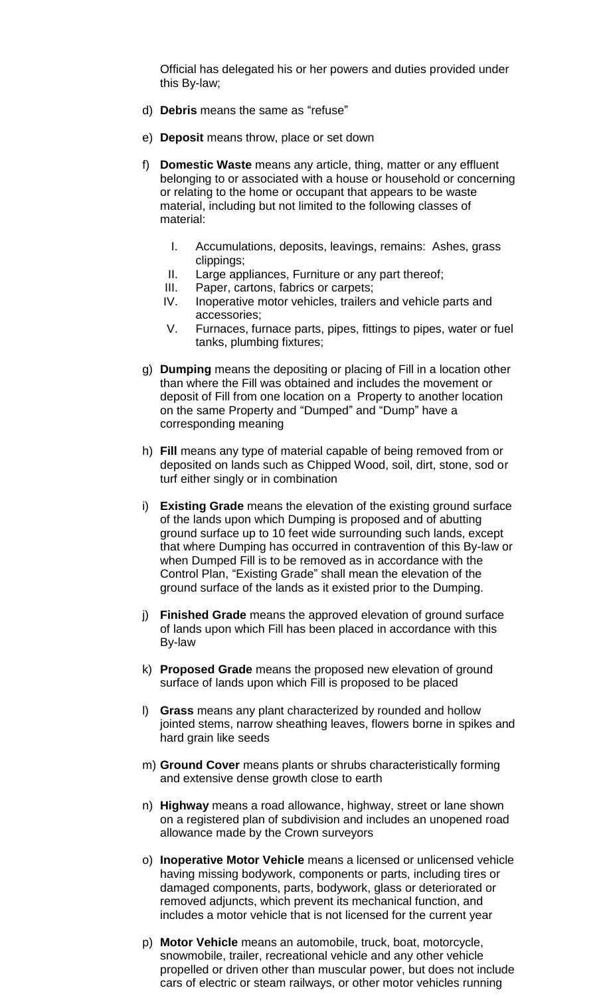Official has delegated his or her powers and duties provided under this By-law;

- d) **Debris** means the same as "refuse"
- e) **Deposit** means throw, place or set down
- f) **Domestic Waste** means any article, thing, matter or any effluent belonging to or associated with a house or household or concerning or relating to the home or occupant that appears to be waste material, including but not limited to the following classes of material:
	- I. Accumulations, deposits, leavings, remains: Ashes, grass clippings;
	- II. Large appliances, Furniture or any part thereof;
	- III. Paper, cartons, fabrics or carpets;
	- IV. Inoperative motor vehicles, trailers and vehicle parts and accessories;
	- V. Furnaces, furnace parts, pipes, fittings to pipes, water or fuel tanks, plumbing fixtures;
- g) **Dumping** means the depositing or placing of Fill in a location other than where the Fill was obtained and includes the movement or deposit of Fill from one location on a Property to another location on the same Property and "Dumped" and "Dump" have a corresponding meaning
- h) **Fill** means any type of material capable of being removed from or deposited on lands such as Chipped Wood, soil, dirt, stone, sod or turf either singly or in combination
- i) **Existing Grade** means the elevation of the existing ground surface of the lands upon which Dumping is proposed and of abutting ground surface up to 10 feet wide surrounding such lands, except that where Dumping has occurred in contravention of this By-law or when Dumped Fill is to be removed as in accordance with the Control Plan, "Existing Grade" shall mean the elevation of the ground surface of the lands as it existed prior to the Dumping.
- j) **Finished Grade** means the approved elevation of ground surface of lands upon which Fill has been placed in accordance with this By-law
- k) **Proposed Grade** means the proposed new elevation of ground surface of lands upon which Fill is proposed to be placed
- l) **Grass** means any plant characterized by rounded and hollow jointed stems, narrow sheathing leaves, flowers borne in spikes and hard grain like seeds
- m) **Ground Cover** means plants or shrubs characteristically forming and extensive dense growth close to earth
- n) **Highway** means a road allowance, highway, street or lane shown on a registered plan of subdivision and includes an unopened road allowance made by the Crown surveyors
- o) **Inoperative Motor Vehicle** means a licensed or unlicensed vehicle having missing bodywork, components or parts, including tires or damaged components, parts, bodywork, glass or deteriorated or removed adjuncts, which prevent its mechanical function, and includes a motor vehicle that is not licensed for the current year
- p) **Motor Vehicle** means an automobile, truck, boat, motorcycle, snowmobile, trailer, recreational vehicle and any other vehicle propelled or driven other than muscular power, but does not include cars of electric or steam railways, or other motor vehicles running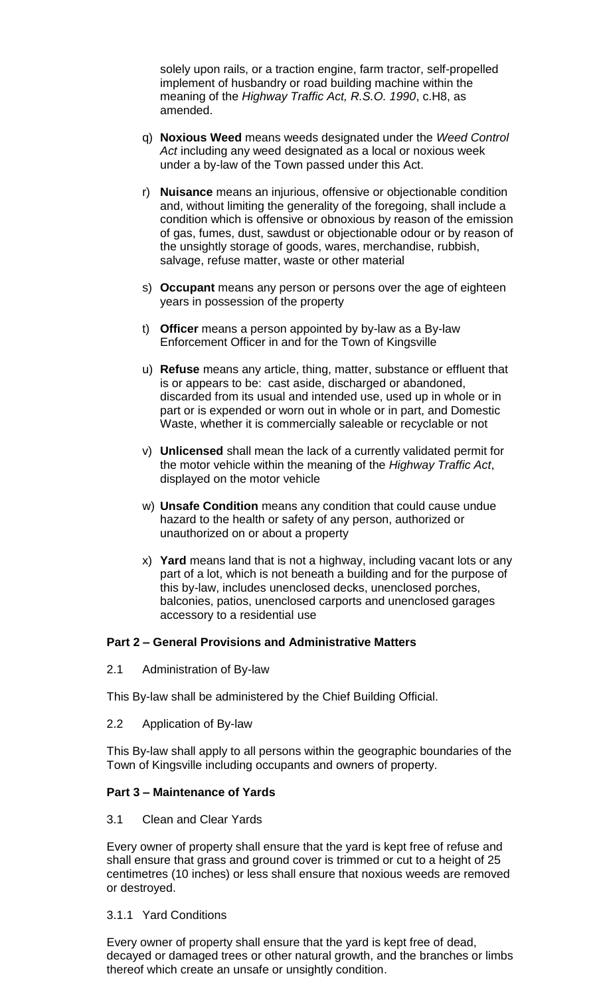solely upon rails, or a traction engine, farm tractor, self-propelled implement of husbandry or road building machine within the meaning of the *Highway Traffic Act, R.S.O. 1990*, c.H8, as amended.

- q) **Noxious Weed** means weeds designated under the *Weed Control Act* including any weed designated as a local or noxious week under a by-law of the Town passed under this Act.
- r) **Nuisance** means an injurious, offensive or objectionable condition and, without limiting the generality of the foregoing, shall include a condition which is offensive or obnoxious by reason of the emission of gas, fumes, dust, sawdust or objectionable odour or by reason of the unsightly storage of goods, wares, merchandise, rubbish, salvage, refuse matter, waste or other material
- s) **Occupant** means any person or persons over the age of eighteen years in possession of the property
- t) **Officer** means a person appointed by by-law as a By-law Enforcement Officer in and for the Town of Kingsville
- u) **Refuse** means any article, thing, matter, substance or effluent that is or appears to be: cast aside, discharged or abandoned, discarded from its usual and intended use, used up in whole or in part or is expended or worn out in whole or in part, and Domestic Waste, whether it is commercially saleable or recyclable or not
- v) **Unlicensed** shall mean the lack of a currently validated permit for the motor vehicle within the meaning of the *Highway Traffic Act*, displayed on the motor vehicle
- w) **Unsafe Condition** means any condition that could cause undue hazard to the health or safety of any person, authorized or unauthorized on or about a property
- x) **Yard** means land that is not a highway, including vacant lots or any part of a lot, which is not beneath a building and for the purpose of this by-law, includes unenclosed decks, unenclosed porches, balconies, patios, unenclosed carports and unenclosed garages accessory to a residential use

### **Part 2 – General Provisions and Administrative Matters**

2.1 Administration of By-law

This By-law shall be administered by the Chief Building Official.

2.2 Application of By-law

This By-law shall apply to all persons within the geographic boundaries of the Town of Kingsville including occupants and owners of property.

#### **Part 3 – Maintenance of Yards**

3.1 Clean and Clear Yards

Every owner of property shall ensure that the yard is kept free of refuse and shall ensure that grass and ground cover is trimmed or cut to a height of 25 centimetres (10 inches) or less shall ensure that noxious weeds are removed or destroyed.

#### 3.1.1 Yard Conditions

Every owner of property shall ensure that the yard is kept free of dead, decayed or damaged trees or other natural growth, and the branches or limbs thereof which create an unsafe or unsightly condition.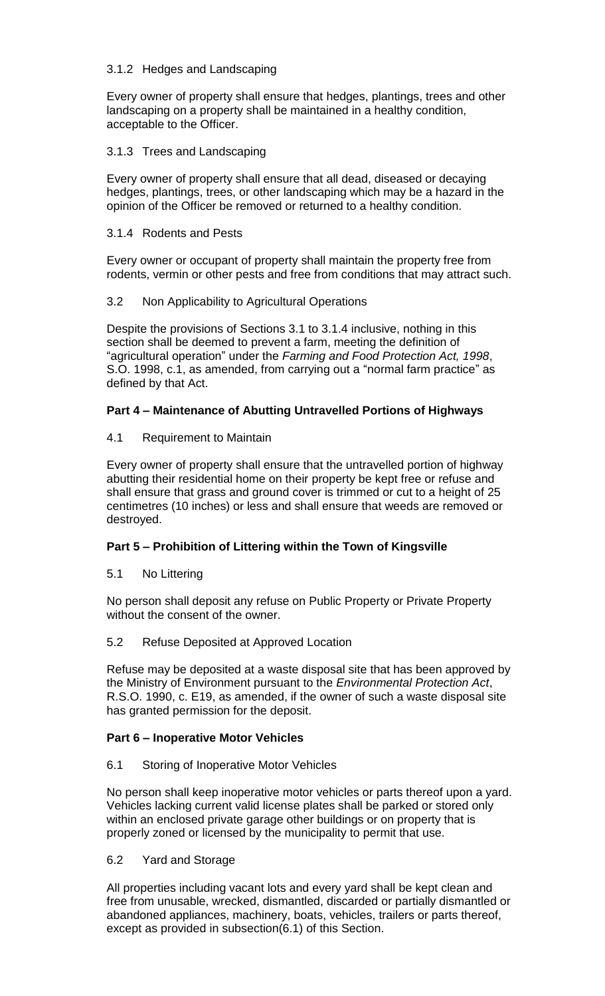### 3.1.2 Hedges and Landscaping

Every owner of property shall ensure that hedges, plantings, trees and other landscaping on a property shall be maintained in a healthy condition, acceptable to the Officer.

## 3.1.3 Trees and Landscaping

Every owner of property shall ensure that all dead, diseased or decaying hedges, plantings, trees, or other landscaping which may be a hazard in the opinion of the Officer be removed or returned to a healthy condition.

## 3.1.4 Rodents and Pests

Every owner or occupant of property shall maintain the property free from rodents, vermin or other pests and free from conditions that may attract such.

## 3.2 Non Applicability to Agricultural Operations

Despite the provisions of Sections 3.1 to 3.1.4 inclusive, nothing in this section shall be deemed to prevent a farm, meeting the definition of "agricultural operation" under the *Farming and Food Protection Act, 1998*, S.O. 1998, c.1, as amended, from carrying out a "normal farm practice" as defined by that Act.

# **Part 4 – Maintenance of Abutting Untravelled Portions of Highways**

## 4.1 Requirement to Maintain

Every owner of property shall ensure that the untravelled portion of highway abutting their residential home on their property be kept free or refuse and shall ensure that grass and ground cover is trimmed or cut to a height of 25 centimetres (10 inches) or less and shall ensure that weeds are removed or destroyed.

# **Part 5 – Prohibition of Littering within the Town of Kingsville**

5.1 No Littering

No person shall deposit any refuse on Public Property or Private Property without the consent of the owner.

### 5.2 Refuse Deposited at Approved Location

Refuse may be deposited at a waste disposal site that has been approved by the Ministry of Environment pursuant to the *Environmental Protection Act*, R.S.O. 1990, c. E19, as amended, if the owner of such a waste disposal site has granted permission for the deposit.

### **Part 6 – Inoperative Motor Vehicles**

### 6.1 Storing of Inoperative Motor Vehicles

No person shall keep inoperative motor vehicles or parts thereof upon a yard. Vehicles lacking current valid license plates shall be parked or stored only within an enclosed private garage other buildings or on property that is properly zoned or licensed by the municipality to permit that use.

### 6.2 Yard and Storage

All properties including vacant lots and every yard shall be kept clean and free from unusable, wrecked, dismantled, discarded or partially dismantled or abandoned appliances, machinery, boats, vehicles, trailers or parts thereof, except as provided in subsection(6.1) of this Section.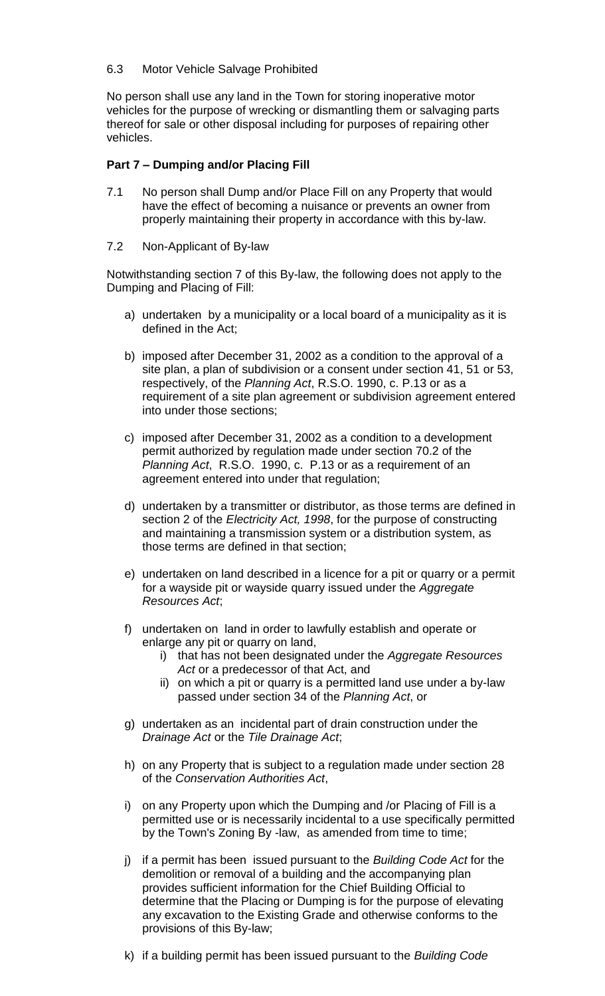## 6.3 Motor Vehicle Salvage Prohibited

No person shall use any land in the Town for storing inoperative motor vehicles for the purpose of wrecking or dismantling them or salvaging parts thereof for sale or other disposal including for purposes of repairing other vehicles.

### **Part 7 – Dumping and/or Placing Fill**

- 7.1 No person shall Dump and/or Place Fill on any Property that would have the effect of becoming a nuisance or prevents an owner from properly maintaining their property in accordance with this by-law.
- 7.2 Non-Applicant of By-law

Notwithstanding section 7 of this By-law, the following does not apply to the Dumping and Placing of Fill:

- a) undertaken by a municipality or a local board of a municipality as it is defined in the Act;
- b) imposed after December 31, 2002 as a condition to the approval of a site plan, a plan of subdivision or a consent under section 41, 51 or 53, respectively, of the *Planning Act*, R.S.O. 1990, c. P.13 or as a requirement of a site plan agreement or subdivision agreement entered into under those sections;
- c) imposed after December 31, 2002 as a condition to a development permit authorized by regulation made under section 70.2 of the *Planning Act*, R.S.O. 1990, c. P.13 or as a requirement of an agreement entered into under that regulation;
- d) undertaken by a transmitter or distributor, as those terms are defined in section 2 of the *Electricity Act, 1998*, for the purpose of constructing and maintaining a transmission system or a distribution system, as those terms are defined in that section;
- e) undertaken on land described in a licence for a pit or quarry or a permit for a wayside pit or wayside quarry issued under the *Aggregate Resources Act*;
- f) undertaken on land in order to lawfully establish and operate or enlarge any pit or quarry on land,
	- i) that has not been designated under the *Aggregate Resources Act* or a predecessor of that Act, and
	- ii) on which a pit or quarry is a permitted land use under a by-law passed under section 34 of the *Planning Act*, or
- g) undertaken as an incidental part of drain construction under the *Drainage Act* or the *Tile Drainage Act*;
- h) on any Property that is subject to a regulation made under section 28 of the *Conservation Authorities Act*,
- i) on any Property upon which the Dumping and /or Placing of Fill is a permitted use or is necessarily incidental to a use specifically permitted by the Town's Zoning By -law, as amended from time to time;
- j) if a permit has been issued pursuant to the *Building Code Act* for the demolition or removal of a building and the accompanying plan provides sufficient information for the Chief Building Official to determine that the Placing or Dumping is for the purpose of elevating any excavation to the Existing Grade and otherwise conforms to the provisions of this By-law;
- k) if a building permit has been issued pursuant to the *Building Code*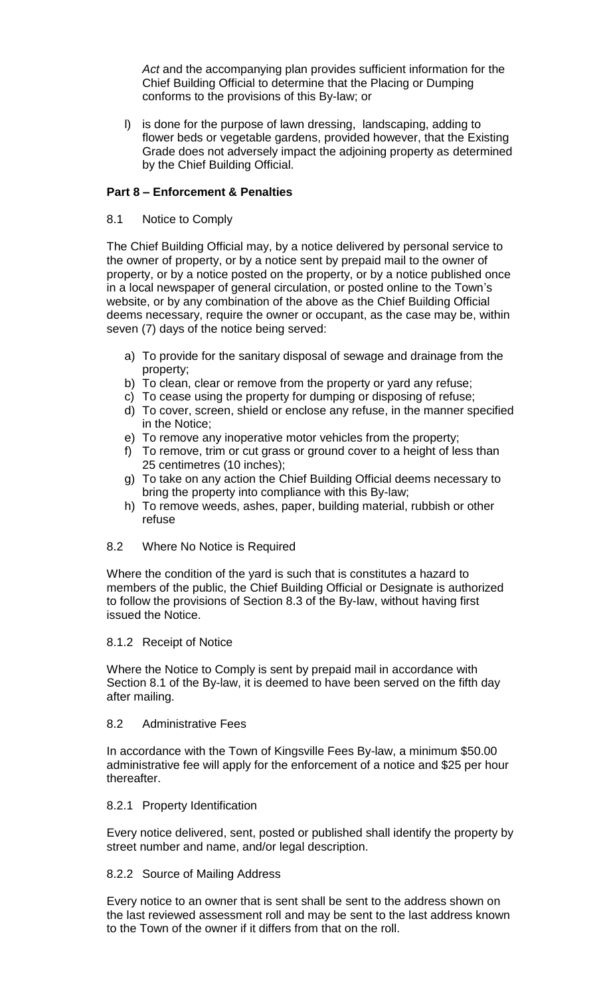*Act* and the accompanying plan provides sufficient information for the Chief Building Official to determine that the Placing or Dumping conforms to the provisions of this By-law; or

l) is done for the purpose of lawn dressing, landscaping, adding to flower beds or vegetable gardens, provided however, that the Existing Grade does not adversely impact the adjoining property as determined by the Chief Building Official.

#### **Part 8 – Enforcement & Penalties**

8.1 Notice to Comply

The Chief Building Official may, by a notice delivered by personal service to the owner of property, or by a notice sent by prepaid mail to the owner of property, or by a notice posted on the property, or by a notice published once in a local newspaper of general circulation, or posted online to the Town's website, or by any combination of the above as the Chief Building Official deems necessary, require the owner or occupant, as the case may be, within seven (7) days of the notice being served:

- a) To provide for the sanitary disposal of sewage and drainage from the property;
- b) To clean, clear or remove from the property or yard any refuse;
- c) To cease using the property for dumping or disposing of refuse;
- d) To cover, screen, shield or enclose any refuse, in the manner specified in the Notice;
- e) To remove any inoperative motor vehicles from the property;
- f) To remove, trim or cut grass or ground cover to a height of less than 25 centimetres (10 inches);
- g) To take on any action the Chief Building Official deems necessary to bring the property into compliance with this By-law;
- h) To remove weeds, ashes, paper, building material, rubbish or other refuse
- 8.2 Where No Notice is Required

Where the condition of the yard is such that is constitutes a hazard to members of the public, the Chief Building Official or Designate is authorized to follow the provisions of Section 8.3 of the By-law, without having first issued the Notice.

## 8.1.2 Receipt of Notice

Where the Notice to Comply is sent by prepaid mail in accordance with Section 8.1 of the By-law, it is deemed to have been served on the fifth day after mailing.

#### 8.2 Administrative Fees

In accordance with the Town of Kingsville Fees By-law, a minimum \$50.00 administrative fee will apply for the enforcement of a notice and \$25 per hour thereafter.

#### 8.2.1 Property Identification

Every notice delivered, sent, posted or published shall identify the property by street number and name, and/or legal description.

#### 8.2.2 Source of Mailing Address

Every notice to an owner that is sent shall be sent to the address shown on the last reviewed assessment roll and may be sent to the last address known to the Town of the owner if it differs from that on the roll.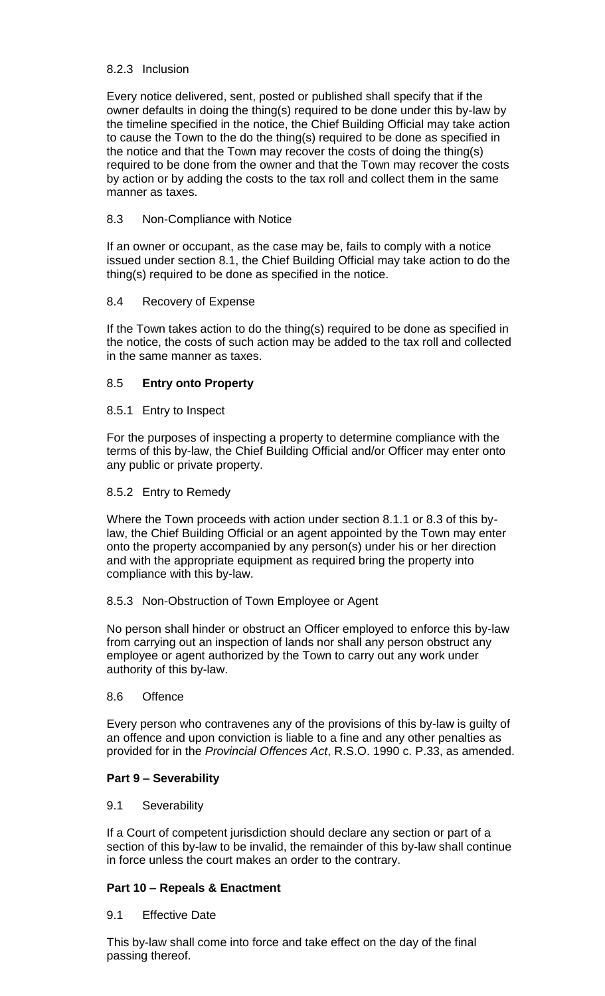## 8.2.3 Inclusion

Every notice delivered, sent, posted or published shall specify that if the owner defaults in doing the thing(s) required to be done under this by-law by the timeline specified in the notice, the Chief Building Official may take action to cause the Town to the do the thing(s) required to be done as specified in the notice and that the Town may recover the costs of doing the thing(s) required to be done from the owner and that the Town may recover the costs by action or by adding the costs to the tax roll and collect them in the same manner as taxes.

## 8.3 Non-Compliance with Notice

If an owner or occupant, as the case may be, fails to comply with a notice issued under section 8.1, the Chief Building Official may take action to do the thing(s) required to be done as specified in the notice.

### 8.4 Recovery of Expense

If the Town takes action to do the thing(s) required to be done as specified in the notice, the costs of such action may be added to the tax roll and collected in the same manner as taxes.

## 8.5 **Entry onto Property**

## 8.5.1 Entry to Inspect

For the purposes of inspecting a property to determine compliance with the terms of this by-law, the Chief Building Official and/or Officer may enter onto any public or private property.

## 8.5.2 Entry to Remedy

Where the Town proceeds with action under section 8.1.1 or 8.3 of this bylaw, the Chief Building Official or an agent appointed by the Town may enter onto the property accompanied by any person(s) under his or her direction and with the appropriate equipment as required bring the property into compliance with this by-law.

### 8.5.3 Non-Obstruction of Town Employee or Agent

No person shall hinder or obstruct an Officer employed to enforce this by-law from carrying out an inspection of lands nor shall any person obstruct any employee or agent authorized by the Town to carry out any work under authority of this by-law.

### 8.6 Offence

Every person who contravenes any of the provisions of this by-law is guilty of an offence and upon conviction is liable to a fine and any other penalties as provided for in the *Provincial Offences Act*, R.S.O. 1990 c. P.33, as amended.

# **Part 9 – Severability**

### 9.1 Severability

If a Court of competent jurisdiction should declare any section or part of a section of this by-law to be invalid, the remainder of this by-law shall continue in force unless the court makes an order to the contrary.

# **Part 10 – Repeals & Enactment**

### 9.1 Effective Date

This by-law shall come into force and take effect on the day of the final passing thereof.